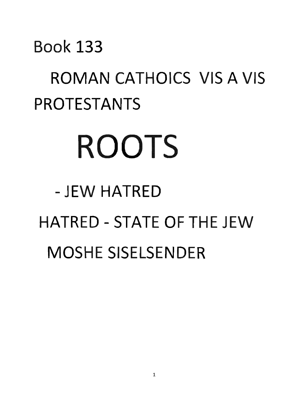#### Book 133

### ROMAN CATHOICS VIS A VIS PROTESTANTS

# **ROOTS**

## -- JEW HATRED HATRED - STATE OF THE JEW MOSHE SISELSENDER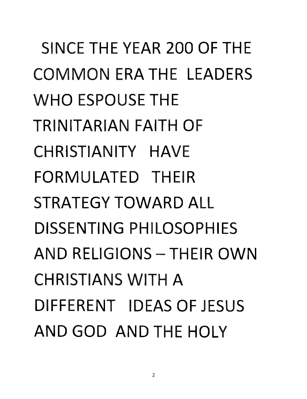SINCE THE YEAR 200 OF THE **COMMON** ERA THE LEADERS **WHO** ESPOUSE THE TRINITARIAN FAITH OF CHRISTIANITY HAVE FORMULATED THEIR STRATEGY TOWARD ALL DISSENTING PHILOSOPHIES **AND** RELIGIONS - THEIR **OWN CHRISTIANS WITH A** DIFFERENT IDEAS OF JESUS **AND GOD AND** THE HOLY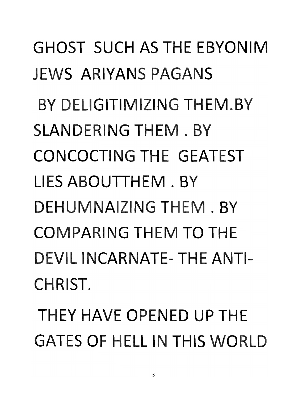GHOST SUCH AS THE EBYONIM JEWS ARIYANS PAGANS BY DELIGITIMIZING THEM.BY SLANDERING THEM. BY CONCOCTING THE GEATEST LIES ABOUTTHEM . BY DEHUMNAIZING THEM. BY COMPARING THEM **TO** THE DEVIL INCARNATE- THE ANTI-CHRIST.

THEY HAVE OPENED UP THE GATES OF HELL IN THIS WORLD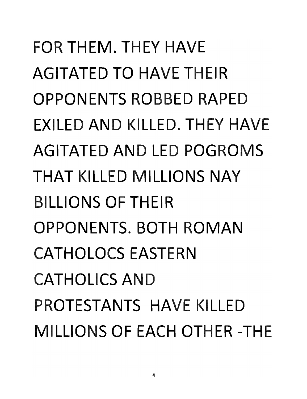FOR THEM. THEY HAVE AGITATED **TO** HAVE THEIR OPPONENTS ROBBED RAPED EXILED **AND** KILLED. THEY HAVE AGITATED **AND** LED POGROMS **THAT** KILLED MILLIONS **NAY**  BILLIONS OF THEIR OPPONENTS. BOTH ROMAN CATHOLOCS EASTERN CATHOLICS **AND**  PROTESTANTS HAVE KILLED MILLIONS OF EACH OTHER - THE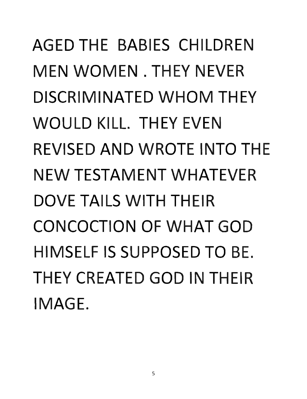AGED THE BABIES CHILDREN MEN WOMEN. THEY NEVER DISCRIMINATED WHOM THEY WOULD KILL. THEY EVEN REVISED AND WROTE INTO THE NEW TESTAMENT WHATEVER DOVE TAILS WITH THEIR CONCOCTION OF WHAT GOD HIMSELF IS SUPPOSED TO BE. THEY CREATED GOD IN THEIR IMAGE.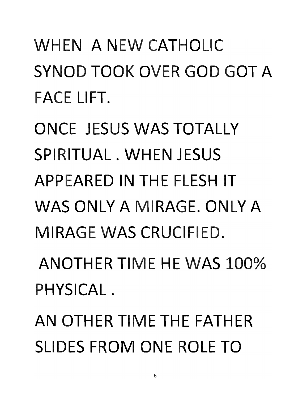WHEN A NEW CATHOLIC SYNOD TOOK OVER **GOD GOT A**  FACE LIFT.

ONCE JESUS WAS TOTALLY SPIRITUAL. WHEN JESUS APPEARED **IN TH** E FLESH IT WAS ONLY A MIRAGE. ONLY A MIRAGE WAS CRUCIFIED.

ANOTHER TIME HE WAS 100% PHYSICAL.

**AN** OTHER TIME THE FATHER SLIDES FROM ONE ROLE **TO**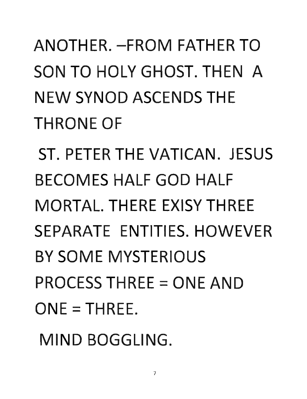## ANOTHER. -FROM FATH R **TO**  SON **TO** HOLY GHOST. THEN A NEW SYNOD ASCENDS THE **THRONE OF**

ST. PETER THE VATICAN. JESUS BECOMES HALF **GOD** HALF MORTAL. THERE XISY THREE SEPARATE ENTITIES. HOWEVER BY SOME MYSTERIOUS **PROCESS THREE = ONE AND**  $ONE = THEFE$ .

MIND BOGGLING.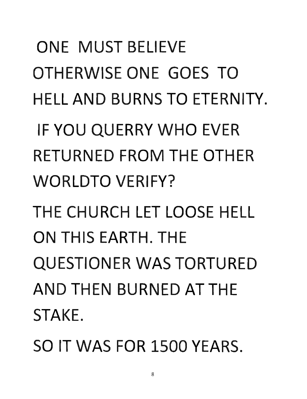ONE MUST BELIEVE OTHERWISE ONE GOES **TO**  HEll **AND** BURNS **TO** ETERNITY.

IF **YOU** QUERRY **WHO** EVER RETURNED FROM THE OTHER WORlDTO VERIFY?

THE CHURCH lET lOOSE HEll **ON** THIS EARTH. THE QUESTIONER WAS TORTURED **AND** THEN BURNED **AT** THE STAKE.

SO IT WAS FOR 1500 YEARS.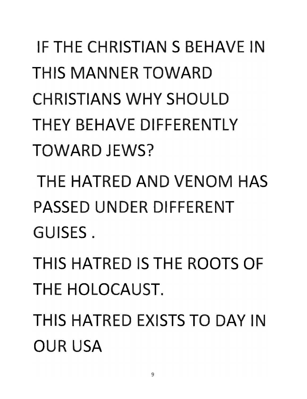## **IF THE CHRISTIAN S BEHAVE IN** THIS MANNER TOWARD CHRISTIANS **WHY** SHOULD THEY BEHAVE DIFFERENTLY TOWARD JEWS?

THE HATRED **AND** VENOM HAS PASSED UNDER DIFFERENT GUISES.

THIS HATRED IS THE ROOTS OF THE HOLOCAUST.

THIS HATRED EXISTS **TO DAY** IN OUR USA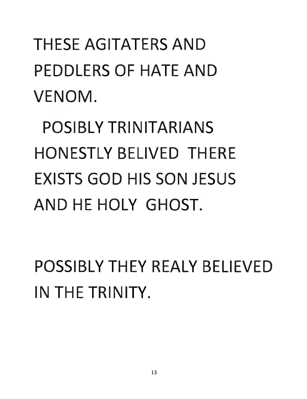**THESE AGITATERS AND** PEDDLERS OF HATE **AND**  VENOM.

POSIBLY TRINITARIANS **HONESTLY BELIVED THERE EXISTS GOD HIS SON JFSUS AND** HE HOLY GHOST.

**POSSIBLY THEY REALY BELIEVED** IN THE TRINITY.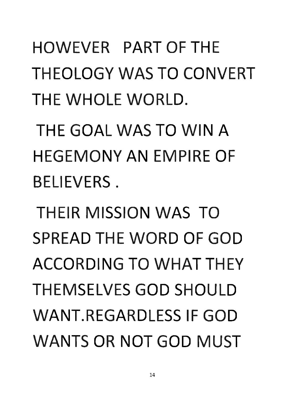HOWEVER PART OF THE THEOLOGY WAS **TO** CONVERT THE WHOLE WORLD.

THE GOAL WAS **TO** WIN A HEGEMONY **AN** EMPIRE OF BELIEVERS.

THEIR MISSION WAS **TO**  SPREAD THE WORD OF **GOD**  ACCORDING **TO WHAT** THEY THEMSELVES **GOD** SHOULD WANT.REGARDLESS IF **GOD**  WANTS **OR NOT GOD** MUST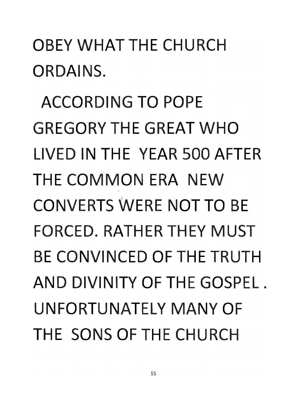#### OBEY **WHAT** THE CHURCH ORDAINS.

ACCORDING **TO** POPE GR GORY THE GREAT **WHO**  LIVED IN THE YEAR 500 AFTER THE **COMMON** ERA NEW **CONVERTS WERE NOT TO BE** FORCED. RATHER THEY MUST BE CONVINCED OF THE TRUTH AND DIVINITY OF THE GOSPEL. UNFORTUNATELY MANY OF THE SONS OF THE CHURCH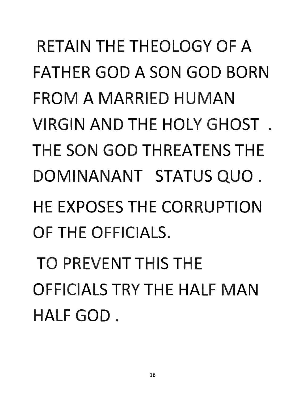## RETAIN THE THEOLOGY OF A FATHER GOD A SON GOD BORN FROM A MARRIED HUMAN VIRGIN AND THE HOLY GHOST. THE SON GOD THREATENS THE DOMINANANT STATUS QUO. HE EXPOSES THE CORRUPTION OF THE OFFICIALS.

TO PREVENT THIS THE OFFICIALS TRY THE HALF MAN HALF GOD.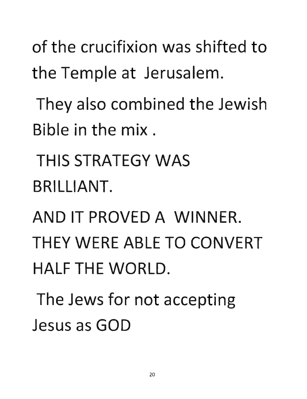of the crucifixion was shifted to **the Temple at Jerusalem.** 

They also combined the Jewish Bible in the mix.

**THIS STRATEGY WAS**  BRILLIANT.

**AND IT PROVED A WINNER. THEY** WERE ABLE **TO CONVERT HALF THE WORLD.** 

**The Jews for not accepting**  Jesus as **GOD**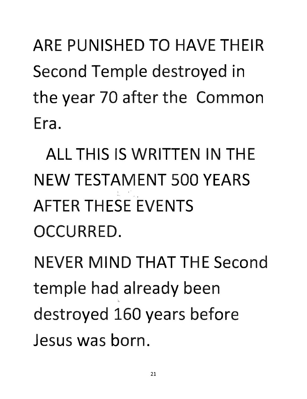ARE PUNISHED TO HAVE THEIR Second Temple destroyed in the year 70 after the Common Era.

ALL THIS IS WRITTEN IN THE NEW TESTAMENT 500 YEARS AFTER THESE FVENTS OCCURRED.

NEVER MIND THAT THE Second temple had already been : destroyed 160 years before Jesus was born.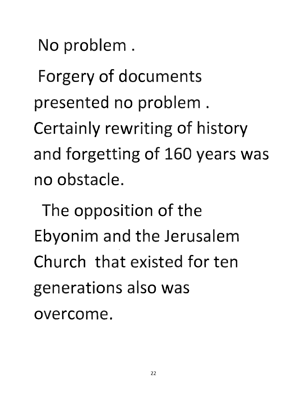No problem.

**Forgery of documents presented no problem. Certainly rewriting of history and forgetting of 160 years was**  no obstacle.

The opposition of the Ebyonim and the Jerus alem Church that existed for ten **generations also was**  overcome.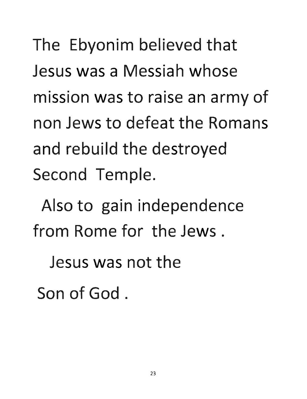The Ebyonim believed that Jesus was a Messiah whose **mission was to raise an army of**  non Jews to defeat the Romans and rebuild the destroyed Second Temple.

Also to gain independence from Rome for the Jews.

Jesus was not the

Son of God.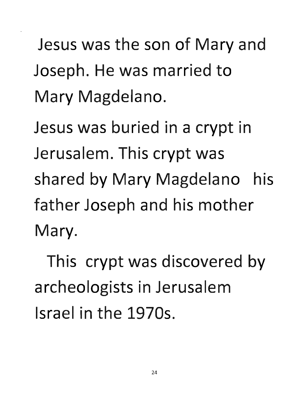**Jesus was the son of Mary and Joseph. He was married to Mary Magdelano.** 

Jesus was buried in a crypt in Jerusalem. This crypt was **shared by Mary Magdelano his**  father Joseph and his mother Mary.

**This crypt was discovered by archeologists in Jerusalem** Israel in the 1970s.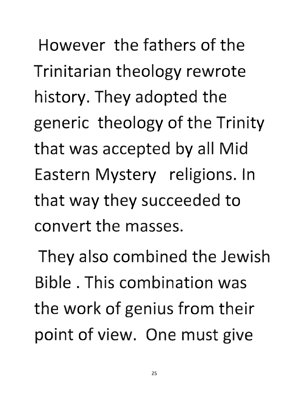However the fathers of the **Trinitarian theology rewrote history. They adopted the**  generic theology of the Trinity **that was ace pted by all Mid**  Eastern Mystery religions. In that way they succeeded to convert the masses.

They also combined the Jewish Bible. This combination was **the work of genius from their**  point of view. One must give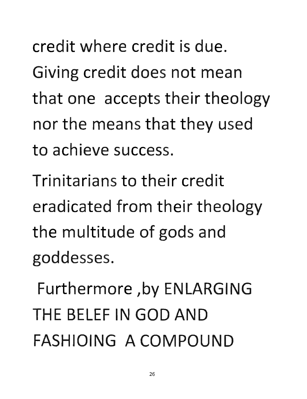credit where credit is due. **Giving credit does not mean**  that one accepts their theology nor the means that they used to achieve success.

Trinitarians to their credit eradicated from their theology the multitude of gods and goddesses.

Furthermore ,by **ENLARGING THE** BELEF **IN GOD AND FASHIOING A COMPOUND**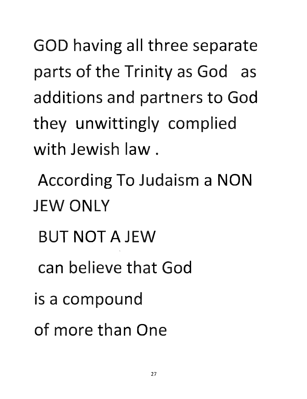**GOD** having all three separate **parts of the Trinity as God as**  additions and partners to God **they unwittingly complied**  with Jewish law.

According **To** Judaism a **NON**  JEW **ONLY** 

- **BUT NOT AJEW**
- can believe that God
- is a compound
- of more than One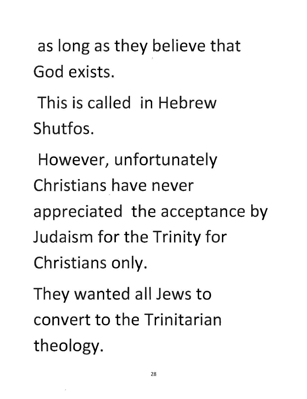as long as they believe that God exists.

This is called in Hebrew Shutfos.

However, unfortunately Christians have never appreciated the acceptance by Judaism for the Trinity for Christians only.

They wanted all Jews to convert to the Trinitarian **theology.**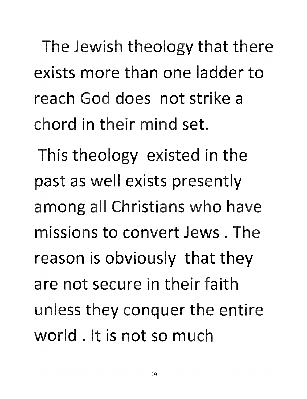The Jewish theology that there exists more than one ladder to reach God does not strike a chord in their mind set.

This theology existed in the **past as well exists presently**  among all Christians who have missions to convert Jews. The **reason is obviously that they**  are not secure in their faith **unless they conquer the entire** world. It is not so much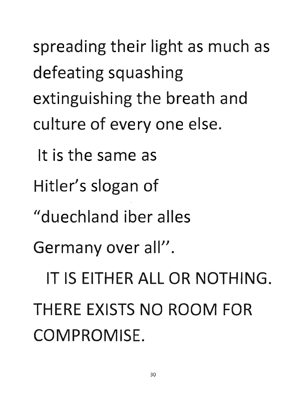**spreading their light as much as defeating squashing extinguishing the breath and**  culture of every one else. It is the same as **Hitler's slogan of**  "duechland iber alles Germany over all". IT IS EITHER ALL OR **NOTHING.**  THERE EXISTS **NO ROOM** FOR COMPROMISE.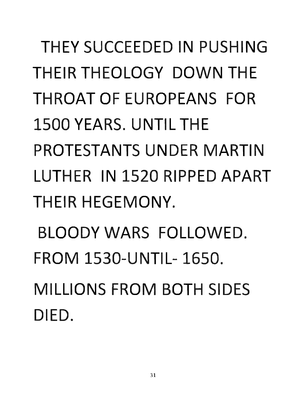## THEY SUCCEEDED IN PUSHING THEIR THEOLOGY DOWN THE THROAT OF EUROPEANS FOR 1500 YEARS. UNTIL THE PROTESTANTS UNDER MARTIN LUTHER IN 1520 RIPPED APART THEIR HEGEMONY.

BLOODY WARS FOLLOWED. FROM 1530-UNTIL- 1650. MILLIONS FROM BOTH SIDES DIED.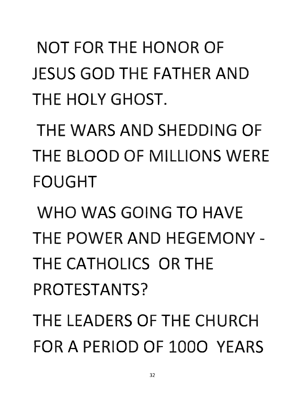**NOT** FOR THE HONOR OF JESUS **GOD** THE FATHER **AND**  THE HOLY GHOST.

THE WARS **AND** SHEDDING OF THE BLOOD OF MILLIONS WERE FOUGHT

**WHO** WAS GOING **TO** HAVE THE POWER **AND** HEGEMONY - THE CATHOLICS OR THE PROTESTANTS?

THE LEADERS OF THE CHURCH FOR A PERIOD OF 1000 YEARS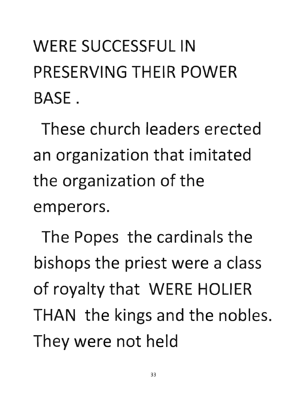## WERE SUCCESSFUL IN PRESERVING THEIR POWER BASE.

These church leaders erected an organization that imitated the organization of the emperors.

The Popes the cardinals the **bishops the priest were a class of royalty that WERE HOLIER**  THAN the kings and the nobles. They were not held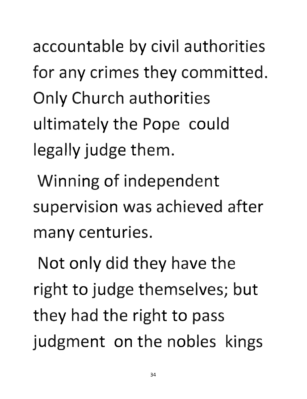accountable by civil authorities **for any crimes they committed.**  Only Church authorities ultimately the Pope could legally judge them.

**Winning of independent**  supervision was achieved after many centuries.

**Not only did they have the right to judge themselves; but they had the right to pass judgment on the nobles kings**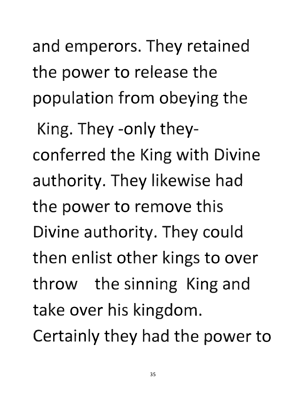and emperors. They retained the power to release the **population from obeying the** 

King. They -only they**conferred the King with Divine authority. They likewise had the power to remove this**  Divine authority. They could **then enlist other kings to over throw the sinning King and take over his kingdom. Certainly they had the power to**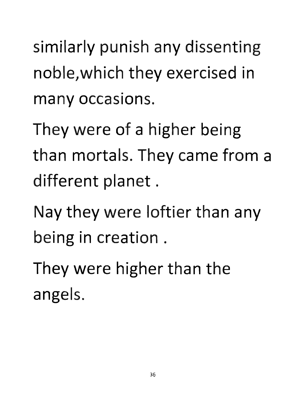similarly punish any dissenting noble, which they exercised in many occasions.

They were of a higher being than mortals. They came from a **different planet.** 

Nay they were loftier than any being in creation.

**They were higher than the angels.**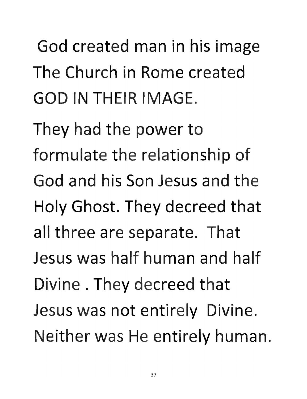God created man in his image The Church in Rome created **GOD IN THEIR IMAGE.** 

**They had the power to formulate the relationship of**  God and his Son Jesus and the Holy Ghost. They decreed that all three are separate. That Jesus was half human and half **Divine. They decreed that Jesus was not entirely Divine. Neither was He entirely human.**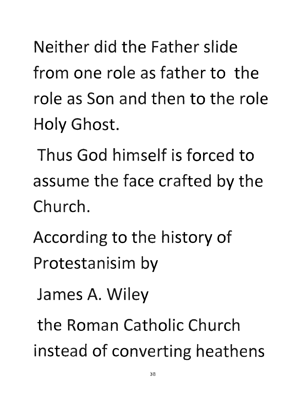Neither did the Father slide from one role as father to the role as Son and then to the role Holy Ghost.

Thus God himself is forced to assume the face crafted by the Church.

- According to the history of Protestanisim by
	- **James A. Wiley**

the Roman Catholic Church **instead of converting heathens**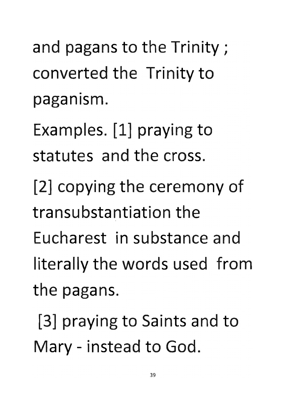and pagans to the Trinity; converted the Trinity to • paganism.

**Examples. [1] praying to**  statutes and the cross.

**[2] copying the ceremony of**  transubstantiation the Eucharest in substance and literally the words used from the pagans.

**[3] praying to Saints and to**  Mary - instead to God.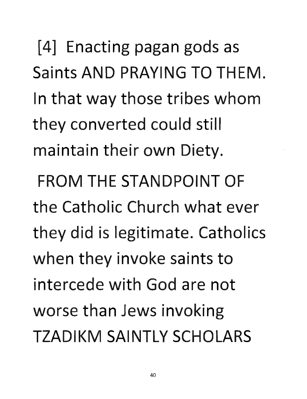**[4]** Enacting pagan gods as Saints **AND PRAYING TO THEM.**  In that way those tribes **whom**  they converted could still maintain their own Diety.

**FROM THE STANDPOINT OF**  the Catholic Church what ever they did is legitimate. Catholics when they invoke saints to intercede with God are not worse than Jews invoking **TZADIKM SAINTLY SCHOLARS**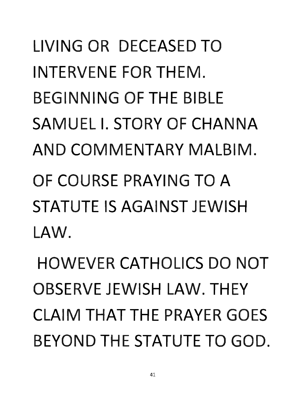## LIVING OR DECEASED **TO**  INTERVENE FOR THEM. BEGINNING OF THE BIBLE SAMUEL I. STORY OF **CHANNA AND** COMMENTARY MALBIM. OF COURSE PRAYING **TO A**  STATUTE IS AGAINST JEWISH LAW.

HOWEVER CATHOLICS **DO NOT**  OBSERVE JEWISH LAW. THEY CLAIM **THAT** THE PRAYER GOES BEYOND THE STATUTE **TO** GOD.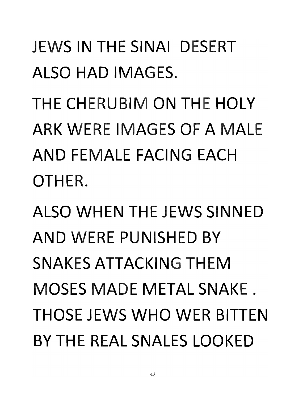#### JEWS IN THE SINAI DESERT ALSO **HAD** IMAGES.

THE CHERUBIM **ON** THE HOLY ARK WERE IMAGES OF A MALE **AND** FEMALE FACING EACH OTHER.

ALSO WHEN THE JEWS SINNED **AND** WERE PUNISHED BY SNAKES ATTACKING THEM MOSES MADE METAL SNAKE. THOSE JEWS **WHO** WER BITTEN BY THE REAL SNALES LOOKED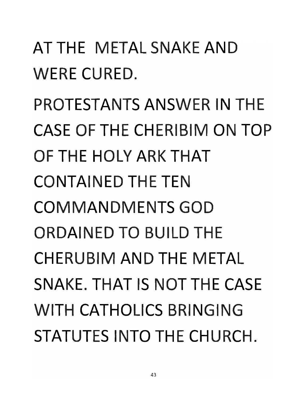#### AT THE METAL SNAKE AND WERE CURED.

PROTESTANTS ANSWER IN THE CASE OF THE CHERIBIM ON TOP OF THE HOLY ARK THAT CONTAINED THE TEN COMMANDMENTS GOD ORDAINED TO BUILD THE CHERUBIM AND THE METAL SNAKE. THAT IS NOT THE CASE WITH CATHOLICS BRINGING STATUTES INTO THE CHURCH.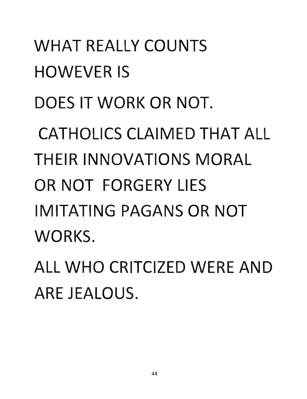**WHAT** REALLY COUNTS **HOWEVER IS** DOES IT WORK OR NOT. CATHOLICS CLAIMED **HAT** ALL HEIR INNOVATIONS MORAL **OR NOT FORGERY LIES** IMITATING PAGANS OR **NOT**  WORKS.

**ALL WHO CRITCIZED WERE AND** ARE JEALOUS.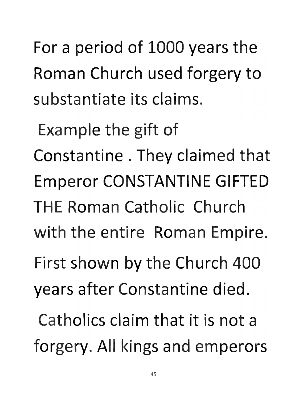For a period of 1000 years the **Roman Church used forgery to**  substantiate its claims.

**Example the gift of**  Constantine. They claimed that Emperor **CONSTANTINE GIFTED THE** Roman Catholic Church with the entire **Roman** Empire. First shown by the Church **400 years after Constantine died.**  Catholics claim that it is not a **forgery. All kings and emperors**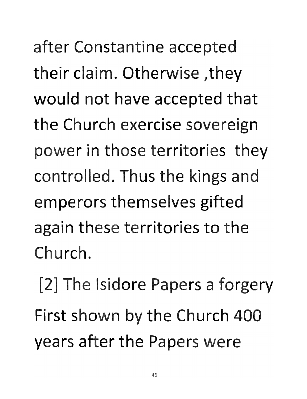after Constantine accepted *their claim. Otherwise , they* would not have accepted that the Church exercise sovereign power in those territories they controlled. Thus the kings and emperors themselves gifted again these territories to the Church.

[2] The Isidore Papers a forgery **First shown by the Church 400 years after the Papers were**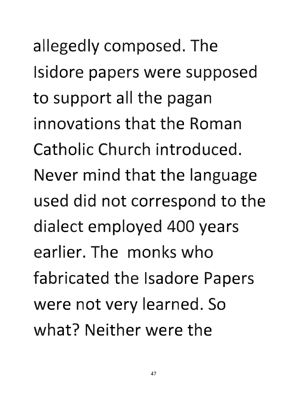allegedly composed. The **Isidore papers were supposed**  to support all the pagan innovations that the Roman Catholic Church introduced. **Never mind that the language** used did not correspond to the **dialect employed 400 years**  earlier. The monks who **fabricated the Isadore Papers** were not very learned. So what? Neither were the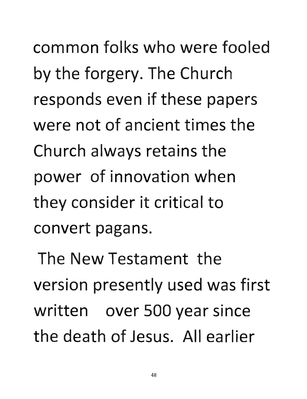common folks who were fooled **by the forgery. The Church**  responds even if these papers were not of ancient times the **Church always retains the power of innovation when**  they consider it critical to convert pagans.

The **New** Testament the **version presently used was first**  written over 500 year since the death of Jesus. All earlier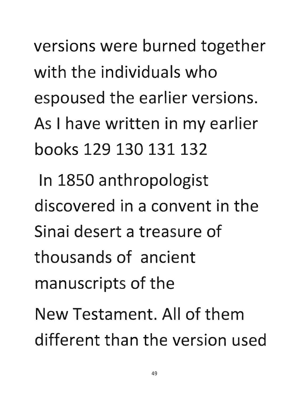**versions were burned together**  with the individuals who espoused the earlier versions. **As I have written in my earlier** books 129 130 131132 **In 1850 anthropologist** 

discovered in a convent in the Sinai desert a treasure of thousands of ancient manuscripts of the **New Testament. All of them** 

different than the version used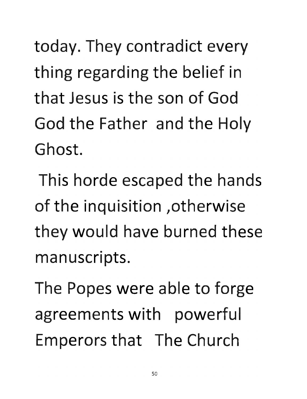today. They contradict every thing regarding the belief in that Jesus is the son of God **God the Father and the Holy**  Ghost.

**This horde scaped the hands**  of the inquisition , otherwise they would have burned these manuscripts.

The Popes were able to forge **agreements with powerful**  Emperors that The Church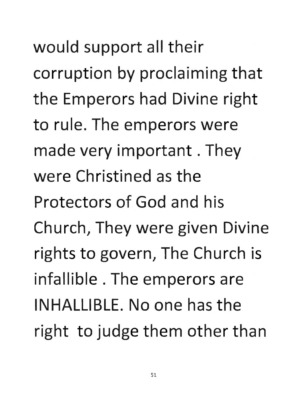would support all their **corruption by prod iming that**  the Emperors had Divine right to rule. The emperors were made very important. They were Christined as the Protectors of God and his Church, They were given Divine rights to govern, The Church is infallible. The emperors are INHALLIBLE. **No** one has the **right to judge them other than**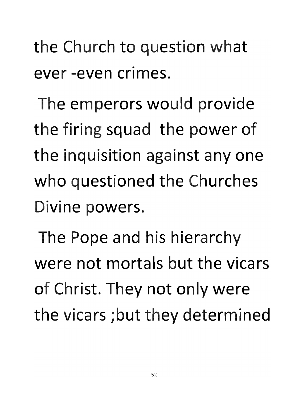**the Church to question what** ever -even crimes.

The emperors would provide **the firing squad the power of**  the inquisition against anyone **who questioned the Churches**  Divine powers.

The Pope and his hierarchy were not mortals but the vicars of Christ. They not only were **the vicars ;but they determined**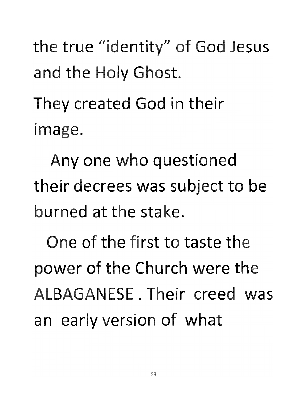the true "identity" of God Jesus **and the Holy Ghost.** 

They created God in their image.

Any one who questioned their decrees was subject to be burned at the stake.

One of the first to taste the **power of the Church were the**  ALBAGANESE. Their creed was an early version of what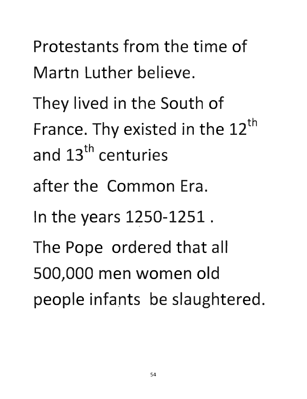- Protestants from the time of Martn Luther believe.
- They lived in the South of France. Thy existed in the 12<sup>th</sup> **and 13th centurie**
- after the Common Era.
- **In the years 1250-1251 .**
- The Pope ordered that all 500,000 men women old people infants be slaughtered.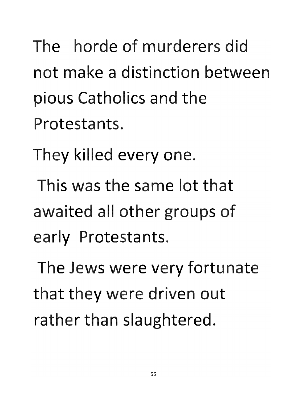The horde of murderers did not make a distinction between pious Catholics and the Protestants.

They killed every one.

This was the same lot that **awaited all other groups of**  early Protestants.

The Jews were very fortunate **that they were driven out rather than slaughtered.**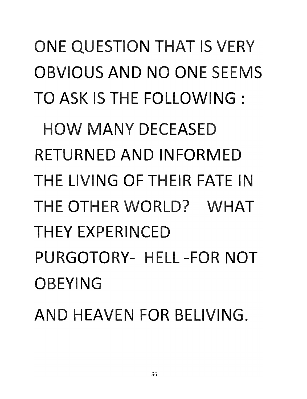TO ASK IS THE FOLLOWING: **HOW MANY DECEASED RETURNED AND INFORMED** THE LIVING OF THEIR FATE IN **TH** OTHER WORLD? **WHAT THEY EXPERINCED** PURGOTORY- HELL -FOR **NOT**  OBEYING **AND HEAVEN FOR BELIVING.** 

**ONE QUESTION THAT IS VERY** 

OBVIOUS **AND NO** ONE SEEMS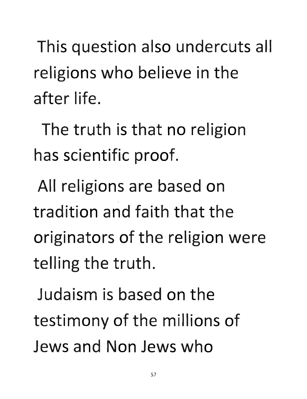This question also undercuts all **religions who believe in the**  after life.

The truth is that no religion has scientific proof.

All religions are based on tradition and faith that the originators of the religion were **telling the truth.** 

Judaism is based on the testimony of the millions of Jews and Non Jews who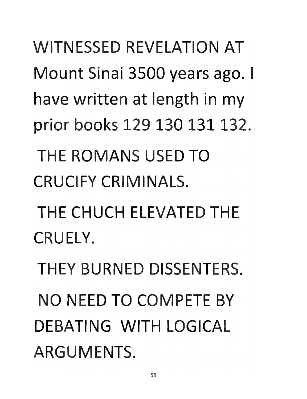WITNESSED REVELATION AT Mount Sinai 3500 years ago. I have written at length in my prior books 129 130 131 132.

THE ROMANS USED TO CRUCIFY CRIMINALS.

THE CHUCH ELEVATED THE CRUELY.

THEY BURNED DISSENTERS. NO NEED TO COMPETE BY DEBATING WITH LOGICAL ARGUMENTS.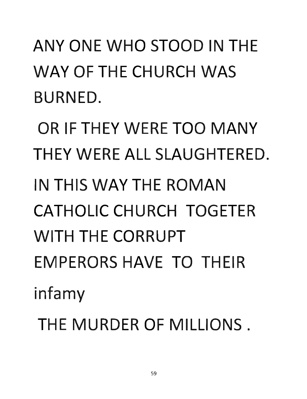ANY ONE WHO STOOD IN THE WAY OF THE CHURCH WAS BURNED.

OR IF THEY WERE TOO MANY THEY WERE ALL SLAUGHTERED. IN THIS WAY THE ROMAN CATHOLIC CHURCH TOGETER WITH THE CORRUPT EMPERORS HAVE TO THEIR infamy

THE MURDER OF MILLIONS.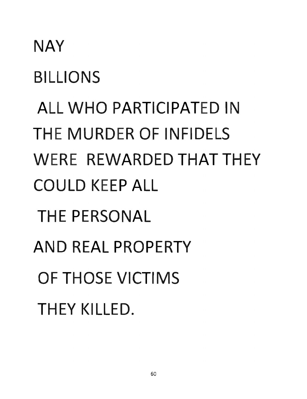# NAY **BILLIONS** ALL WHO PARTICIPATED IN THE MURDER OF INFIDELS WERE REWARDED THAT THEY COULD KEEP ALL THE PERSONAL AND REAL PROPERTY OF THOSE VICTIMS THEY KILLED.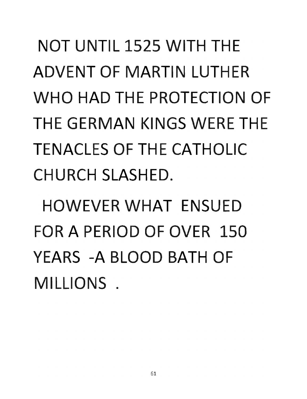**NOT** UNTIL 1525 WITH THE ADVENT OF MARTIN LUTHER W **0 HAD** THE PROTECTION OF THE GERMAN KINGS WERE THE TENACLES OF THE CATHOLIC CHURCH SLASHED.

HOWEVER **WHAT** ENSUED FOR A PERIOD OF OVER 150 YEARS -A BLOOD BATH OF MILLIONS.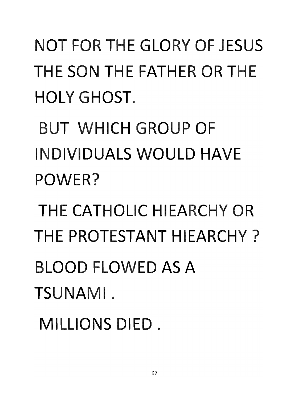**NOT** FOR THE GLORY OF JESUS THE SON THE FATHER OR THE HOLY GHOST.

BUT WHICH GROUP OF **INDIVIDUALS WOULD HAVE** POWER?

THE CATHOLIC HIEARCHY OR THE PROTESTANT HIEARCHY? BLOOD FLOWED AS A TSUNAMI.

MILLIONS DIED.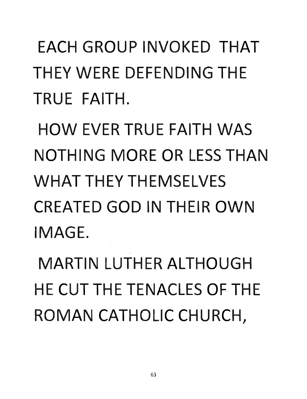### EACH GROUP INVOKED THAT THEY WERE DEFENDING THE TRUE FAITH.

HOW EVER TRUE FAITH WAS NOTHING MORE OR LESS THAN WHAT THEY THEMSELVES CREATED GOD IN THEIR OWN IMAGE.

MARTIN LUTHER ALTHOUGH HE CUT THE TENACLES OF THE ROMAN CATHOLIC CHURCH,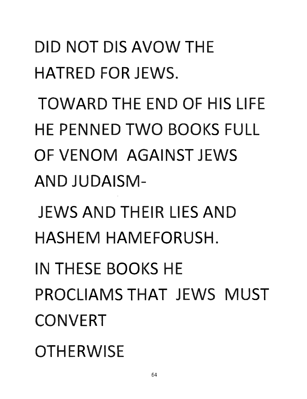**DID NOT** DIS **AVOW THE HATRED** FOR JEWS.

**TOWARD THE END** OF HIS LIFE **HE PENNED TWO BOOKS FULL** OF **VENOM AGAINST** JEWS **AND JUDAISM-**

JEWS **AND** THEIR LIES **AND HASHEM** HAMEFORUSH.

IN THESE BOOKS HE PROCLIAMS **THAT** JEWS **MUST CONVERT** 

**OTHERWISE**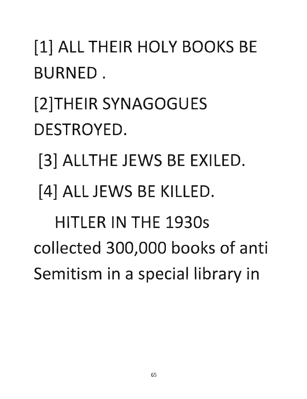#### [1] ALL THEIR HOLY BOOKS BE BURNED.

### [2]THEIR SYNAGOGUES DESTROYED.

- [3] ALLTHE JEWS BE EXILED.
- **[4]** ALL JEWS BE KILLED.

HITLER IN THE 1930s collected 300,000 books of anti Semitism in a special library in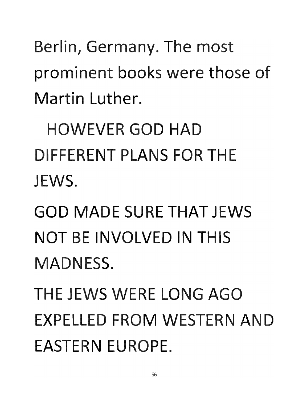Berlin, Germany. The most prominent books were those of Martin Luther.

HOWEVER GOD HAD DIFFERENT PLANS FOR THE JEWS.

GOD MADE SURE THAT JEWS NOT BE INVOLVED IN THIS MADNESS.

THE JEWS WERE LONG AGO EXPELLED FROM WESTERN AND EASTERN EUROPE.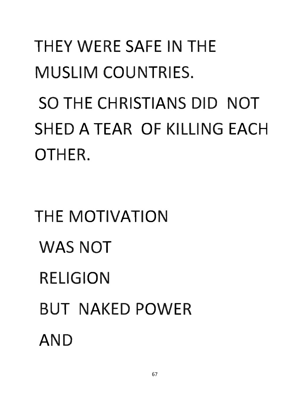#### **THEY WERE SAFE IN THE** MUSLIM COUNTRIES.

SO THE CHRISTIANS DID **NOT**  SHED A TEAR OF KILLING EACH OTHER.

# **THE MOTIVATION** WAS **NOT RELIGION** BUT NAKED POWER **AND**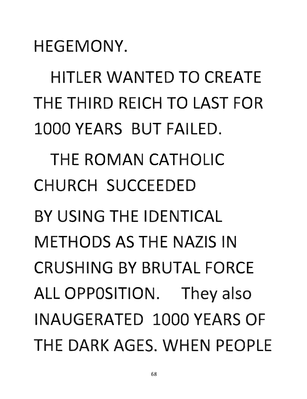HEGEMONY.

**HITLER WANTED TO CREATE** THE THIRD REICH **TO** LAST FOR 1000 YEARS BUT FAILED. THE ROMAN CATHOLIC CHURCH SUCCEEDED BY USING THE IDENTICAL METHODS AS THE NAZIS IN CRUSHING BY BRUTAL FORCE ALL OPPOSITION. They also INAUGERATED 1000 YEARS OF THE DARK AGES. WHEN PEOPLE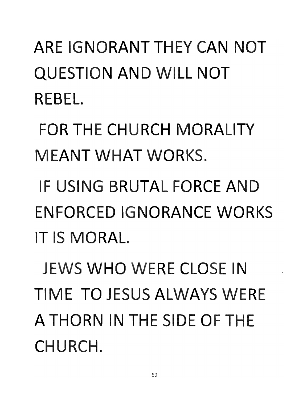ARE IGNORANT THEY **CAN NOT**  QUESTION **AND** WILL **NOT**  REBEL.

**FOR THE CHURCH MORALITY** MEANT **WHAT** WORKS.

IF USING BRUTAL FORCE **AND**  ENFORCED IGNORANCE WORKS IT IS MORAL.

JEWS **WHO** WERE CLOSE IN TIME **TO** JESUS ALWAYS WERE A THORN IN THE SIDE OF THE CHURCH.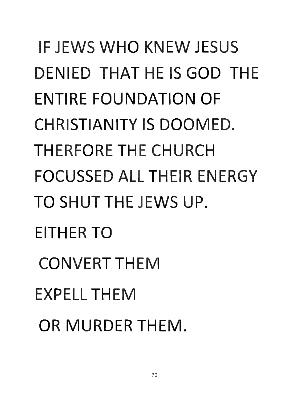## IF JEWS **WHO** KNEW JESUS DENIED **THAT** HE IS **GOD** THE ENTIRE FOUNDATION OF CHRISTIANITY IS DOOMED. HERFORE THE CHURCH FOCUSSED ALL THEIR ENERGY TO SHUT THE JEWS UP. EITHER **TO**  CONVERT THEM EXPELL THEM OR MURDER THEM.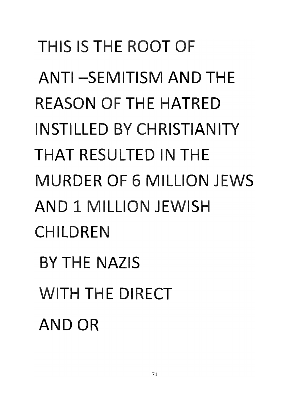## THIS IS THE ROOT OF ANTI--SEMITISM **AND** THE REASON OF THE HATRED INSTILLED **BY** CHRISTIANITY **THAT** RESULTED IN THE MURDER OF 6 MILLION JEWS AND 1 MILLION JEWISH CHILDREN **BY THE NAZIS** WITH THE DIRECT ANDOR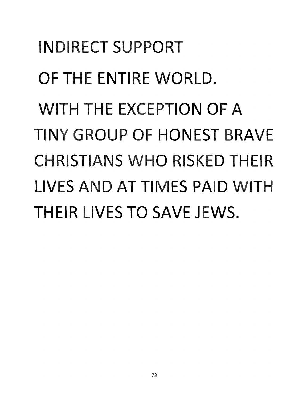INDIRECT SUPPORT OF **THE** ENTIRE WORLD. **WITH THE** EXCEPTION OF A **TINY** GROUP OF **HONEST** BRAVE CHRISTIANS **WHO** RISKED THEIR LIVES **AND AT** TIMES PAID **WITH**  THEIR LIVES **TO** SAVE JEWS.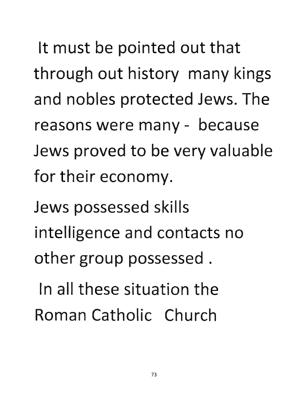It must be pointed out that through out history many kings and nobles protected Jews. The reasons were many - because Jews proved to be very valuable for their economy.

Jews possessed skills intelligence and contacts no other group possessed.

In all these situation the Roman Catholic Church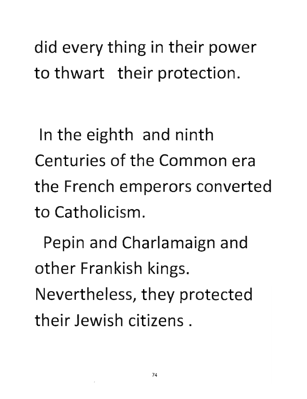**did every thing in their power**  to thwart their protection.

In the eighth and ninth **Centuries of the Common era** the French emperors converted to Catholicism.

Pepin and Charlamaign and **other Frankish kings.** 

Nevertheless, they protected their Jewish citizens.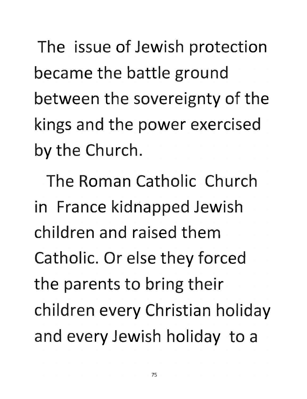The issue of Jewish protection became the battle ground between the sovereignty of the kings and the power exercised by the Church.

The Roman Catholic Church in France kidnapped Jewish children and raised them Catholic. **Or** else they forced **the parents to bring their**  children every Christian holiday **and every Jewish holiday to a**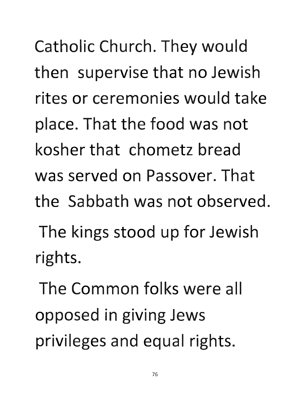**Catholic Church. They would hen supervise that no Jewish**  rites or ceremonies would take place. That the food was not kosher that chometz bread was served on Passover. That the Sabbath was not observed. The kings stood up for Jewish rights.

The **Common** folks were all **opposed in giving Jews privileges and equal rights.**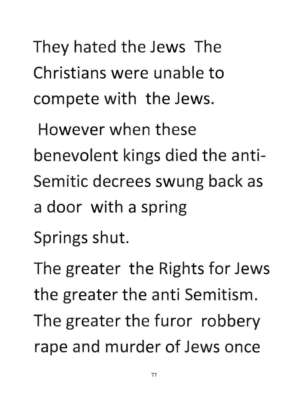They hated the Jews The Christians were unable to **compete with the Jews.** 

However when these benevolent kings died the anti-Semitic decrees swung back as a door with a spring

Springs shut.

The greater the Rights for Jews **the greater the anti Semitism. The greater the furor robbery**  rape and murder of Jews once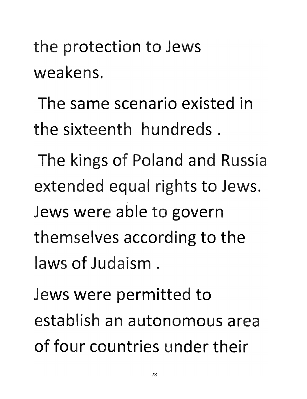#### the protection to Jews weakens.

The same scenario existed in the sixteenth hundreds.

**The kings of Poland and Russia**  extended equal rights to Jews. Jews were able to govern themselves according to the laws of Judaism.

Jews were permitted to establish an autonomous area of four countries under their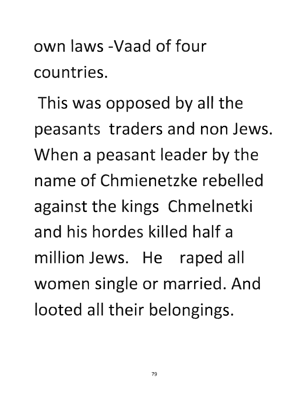own laws -Vaad of four countries.

This was opposed by all the peasants traders and non Jews. When a peasant leader by the name of Chmienetzke rebelled against the kings Chmelnetki and his hordes killed half a million Jews. **He** raped all women single or married. And **looted all their belongings.**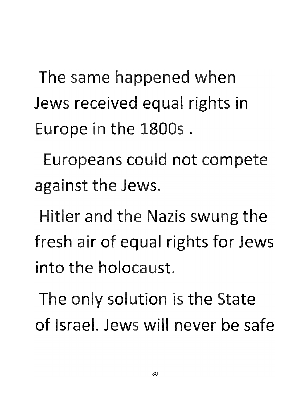The same happened when Jews received equal rights in **urope in the 1800s .** 

**Europeans could not compete against the Jews.** 

Hitler and the Nazis swung the fresh air of equal rights for Jews into the holocaust.

**The only solution is the State**  of Israel. Jews will never be safe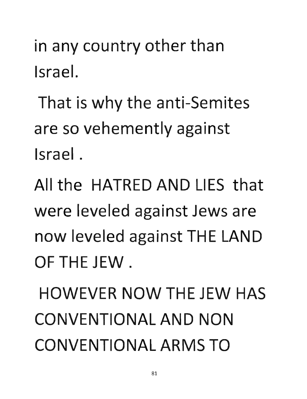in any country other than Israel.

That is why the anti-Semites are so vehemently against Israel.

All the HATRED AND LIES that were leveled against Jews are now leveled against THE LAND OF THE JEW.

HOWEVER NOW THE JEW HAS CONVENTIONAL AND NON CONVENTIONAL ARMS TO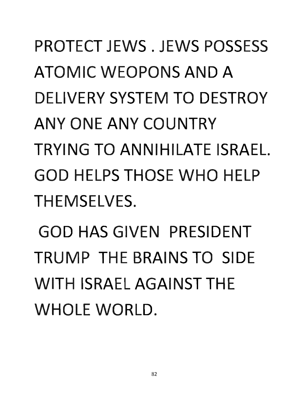## PROTECT JEWS. JEWS POSSESS **ATOMIC WEOPONS AND A DELIVERY SYSTEM TO DESTROY ANY ONE ANY COUNTRY** TRYING **TO** ANNIHILATE ISRAEL. **GOD HELPS THOSE WHO HELP** THEMSELVES.

**GOD HAS GIVEN PRESIDENT** TRUMP THE BRAINS **TO** SIDE WITH ISRAEL AGAINST THE WHOLE WORLD.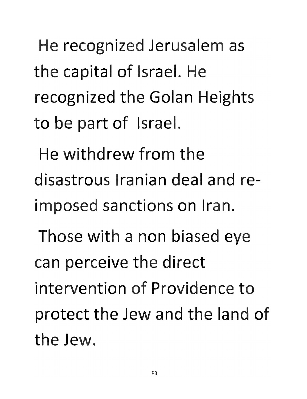**He recognized Jerusalem the capital of Israel. He**  recognized the Golan Heights **to be part of Israel.** 

**He** withdrew from the disastrous Iranian deal and imposed sanctions on Iran.

Those with a non biased eye can perceive the direct intervention of Providence to protect the Jew and the land of the Jew.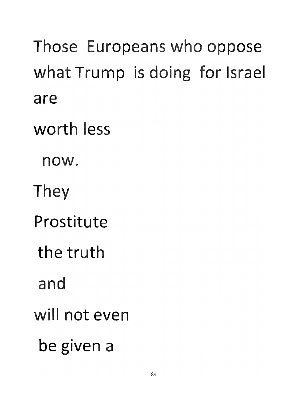Those Europeans who oppose what Trump is doing for Israel ar worth less now. They Prostitute the truth and will not even **be given a**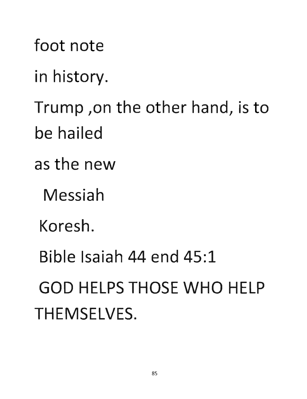foot not in history. Trump ,on the other hand, is to be hailed as the new Messiah Koresh. **Bible Isaiah 44 end 45:1 GOD** HELPS **THOSE WHO** HELP THEMSELVES.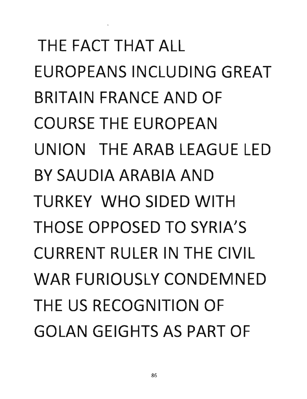THE FACT THAT ALL EUROPEANS INCLUDING GREAT BRITAIN FRANCE AND OF COURSE THE EUROPEAN UNION THE ARAB LEAGUE LED BY SAUDIA ARABIA AND TURKEY WHO SIDED WITH THOSE OPPOSED TO SYRIA'S CURRENT RULER IN THE CIVIL WAR FURIOUSLY CONDEMNED THE US RECOGNITION OF GOLAN GEIGHTS AS PART OF

 $\Lambda$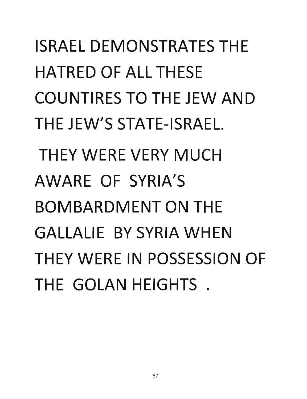ISRAEL DEMONSTRATES THE HATRED OF ALL THESE COUNTIRES TO THE JEW AND THE JEW'S STATE-ISRAEL. THEY WERE VERY MUCH AWARE OF SYRIA'S BOMBARDMENT ON THE GALLALIE BY SYRIA WHEN THEY WERE IN POSSESSION OF THE GOLAN HEIGHTS .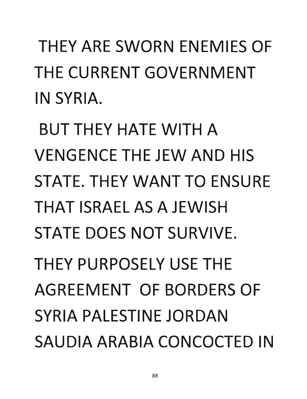THEY ARE SWORN ENEMIES OF THE CURRENT GOVERNMENT IN SYRIA.

**BUT THEY HATE WITH A** VENGENCE THE JEW AND HIS STATE. THEY WANT TO ENSURE THAT ISRAEL AS A JEWISH STATE DOES NOT SURVIVE. THEY PURPOSELY USE THE AGREEMENT OF BORDERS OF SYRIA PALESTINE JORDAN SAUDIA ARABIA CONCOCTED IN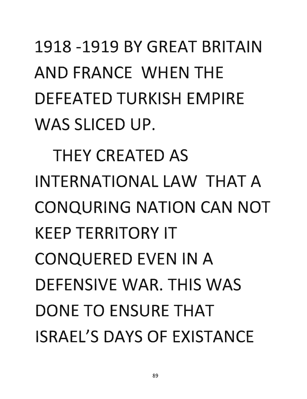## 1918 -1919 BY GREAT BRITAIN AND FRANCE WHEN THE DEFEATED TURKISH EMPIRE WAS SLICED UP.

THEY CREATED AS INTERNATIONAL LAW THAT A CONQURING NATION CAN NOT KEEP TERRITORY IT CONQUERED EVEN IN A DEFENSIVE WAR. THIS WAS DONE TO ENSURE THAT ISRAEL'S DAYS OF EXISTANCE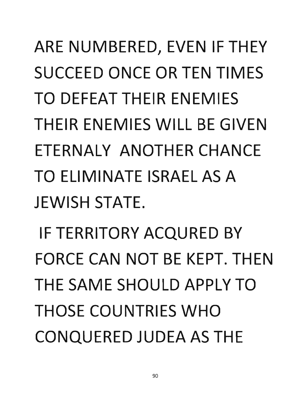ARE NUMBERED, EVEN IF THEY SUCCEED ONCE OR TEN TIMES TO DEFEAT THEIR ENEMIES THEIR ENEMIES WILL BE GIVEN ETERNALY ANOTHER CHANCE TO ELIMINATE ISRAEL AS A **JEWISH STATE.** 

IF TERRITORY ACQURED BY FORCE CAN NOT BE KEPT. THEN THE SAME SHOULD APPLY TO THOSE COUNTRIES WHO CONQUERED JUDEA AS THE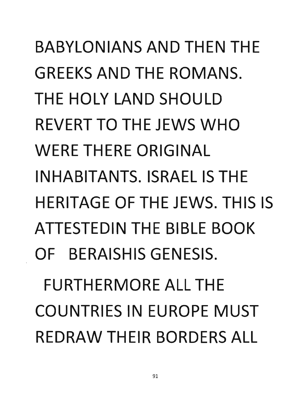## BABYLONIANS AND THEN THE GREEKS AND THE ROMANS. THE HOLY LAND SHOULD REVERT TO THE JEWS WHO WERE THERE ORIGINAL INHABITANTS. ISRAEL IS THE HERITAGE OF THE JEWS. THIS IS ATTESTEDIN THE BIBLE BOOK OF BERAISHIS GENESIS. FURTHERMORE ALL THE COUNTRIES IN EUROPE MUST REDRAW THEIR BORDERS ALL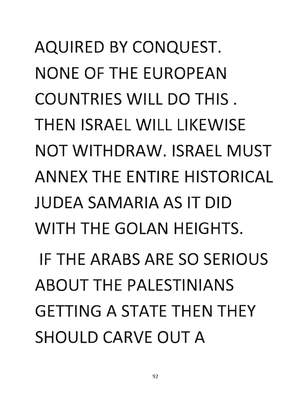AQUIRED BY CONQUEST. NONE OF THE EUROPEAN COUNTRIES WILL DO THIS. THEN ISRAEL WILL LIKEWISE NOT WITHDRAW. ISRAEL MUST ANNEX THE ENTIRE HISTORICAL JUDEA SAMARIA AS IT DID WITH THE GOLAN HEIGHTS. IF THE ARABS ARE SO SERIOUS ·ABOUT THE PALESTINIANS GETIING A STATE THEN THEY SHOULD CARVE OUT A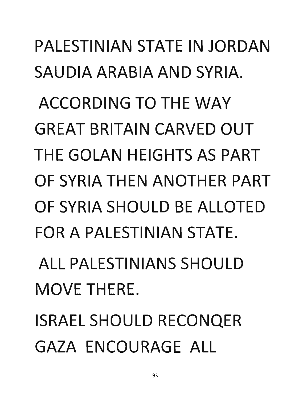## PALESTINIAN STATE IN JORDAN SAUDIA ARABIA AND SYRIA.

ACCORDING TO THE WAY GREAT BRITAIN CARVED OUT THE GOLAN HEIGHTS AS PART OF SYRIA THEN ANOTHER PART OF SYRIA SHOULD BE ALLOTED FOR A PALESTINIAN STATE.

ALL PALESTINIANS SHOULD MOVE THERE.

ISRAEL SHOULD RECONQER GAZA ENCOURAGE ALL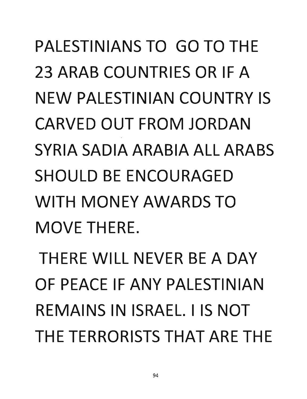PALESTINIANS TO GO TO THE 23 ARAB COUNTRIES OR IF A NEW PALESTINIAN COUNTRY IS CARVED OUT FROM JORDAN SYRIA SADIA ARABIA ALL ARABS SHOULD BE ENCOURAGED WITH MONEY AWARDS TO MOVE THERE.

THERE WILL NEVER BE A DAY OF PEACE IF ANY PALESTINIAN REMAINS IN ISRAEL. I IS NOT THE TERRORISTS THAT ARE THE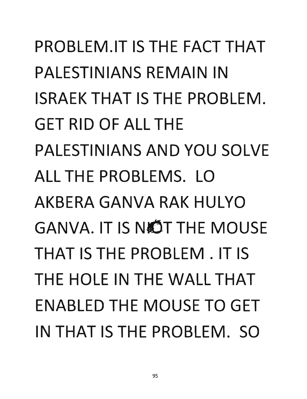PROBLEM.IT IS THE FACT THAT PALESTINIANS REMAIN IN ISRAEK THAT IS THE PROBLEM. GET RID OF ALL THE PALESTINIANS AND YOU SOLVE ALL THE PROBLEMS. LO AKBERA GANVA RAK HULYO GANVA. IT IS NOT THE MOUSE THAT IS THE PROBLEM. IT IS THE HOLE IN THE WALL THAT ENABLED THE MOUSE TO GET IN THAT IS THE PROBLEM. SO